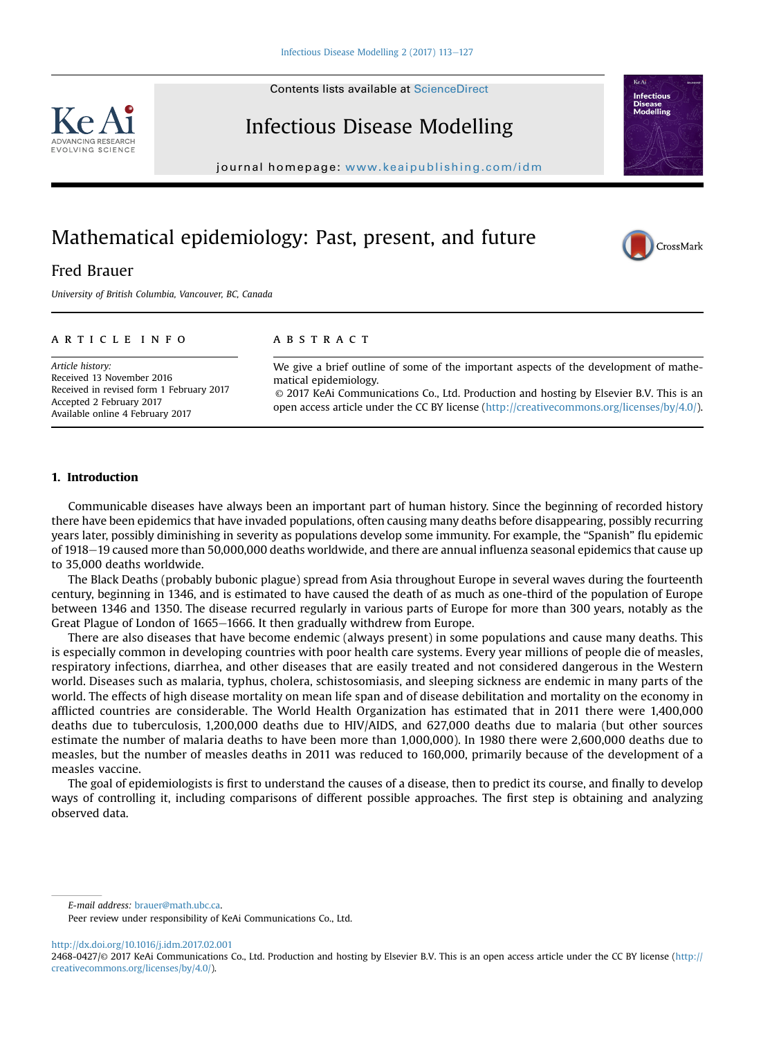Contents lists available at ScienceDirect





Infectious Disease Modelling

journal homepage: www.keaipublishing.com/idm

# Mathematical epidemiology: Past, present, and future



# Fred Brauer

University of British Columbia, Vancouver, BC, Canada

# article info

Article history: Received 13 November 2016 Received in revised form 1 February 2017 Accepted 2 February 2017 Available online 4 February 2017

# **ABSTRACT**

We give a brief outline of some of the important aspects of the development of mathematical epidemiology.

© 2017 KeAi Communications Co., Ltd. Production and hosting by Elsevier B.V. This is an open access article under the CC BY license (http://creativecommons.org/licenses/by/4.0/).

# 1. Introduction

Communicable diseases have always been an important part of human history. Since the beginning of recorded history there have been epidemics that have invaded populations, often causing many deaths before disappearing, possibly recurring years later, possibly diminishing in severity as populations develop some immunity. For example, the "Spanish" flu epidemic of 1918–19 caused more than 50,000,000 deaths worldwide, and there are annual influenza seasonal epidemics that cause up to 35,000 deaths worldwide.

The Black Deaths (probably bubonic plague) spread from Asia throughout Europe in several waves during the fourteenth century, beginning in 1346, and is estimated to have caused the death of as much as one-third of the population of Europe between 1346 and 1350. The disease recurred regularly in various parts of Europe for more than 300 years, notably as the Great Plague of London of 1665-1666. It then gradually withdrew from Europe.

There are also diseases that have become endemic (always present) in some populations and cause many deaths. This is especially common in developing countries with poor health care systems. Every year millions of people die of measles, respiratory infections, diarrhea, and other diseases that are easily treated and not considered dangerous in the Western world. Diseases such as malaria, typhus, cholera, schistosomiasis, and sleeping sickness are endemic in many parts of the world. The effects of high disease mortality on mean life span and of disease debilitation and mortality on the economy in afflicted countries are considerable. The World Health Organization has estimated that in 2011 there were 1,400,000 deaths due to tuberculosis, 1,200,000 deaths due to HIV/AIDS, and 627,000 deaths due to malaria (but other sources estimate the number of malaria deaths to have been more than 1,000,000). In 1980 there were 2,600,000 deaths due to measles, but the number of measles deaths in 2011 was reduced to 160,000, primarily because of the development of a measles vaccine.

The goal of epidemiologists is first to understand the causes of a disease, then to predict its course, and finally to develop ways of controlling it, including comparisons of different possible approaches. The first step is obtaining and analyzing observed data.

E-mail address: brauer@math.ubc.ca.

http://dx.doi.org/10.1016/j.idm.2017.02.001

Peer review under responsibility of KeAi Communications Co., Ltd.

<sup>2468-0427/</sup>© 2017 KeAi Communications Co., Ltd. Production and hosting by Elsevier B.V. This is an open access article under the CC BY license (http:// creativecommons.org/licenses/by/4.0/).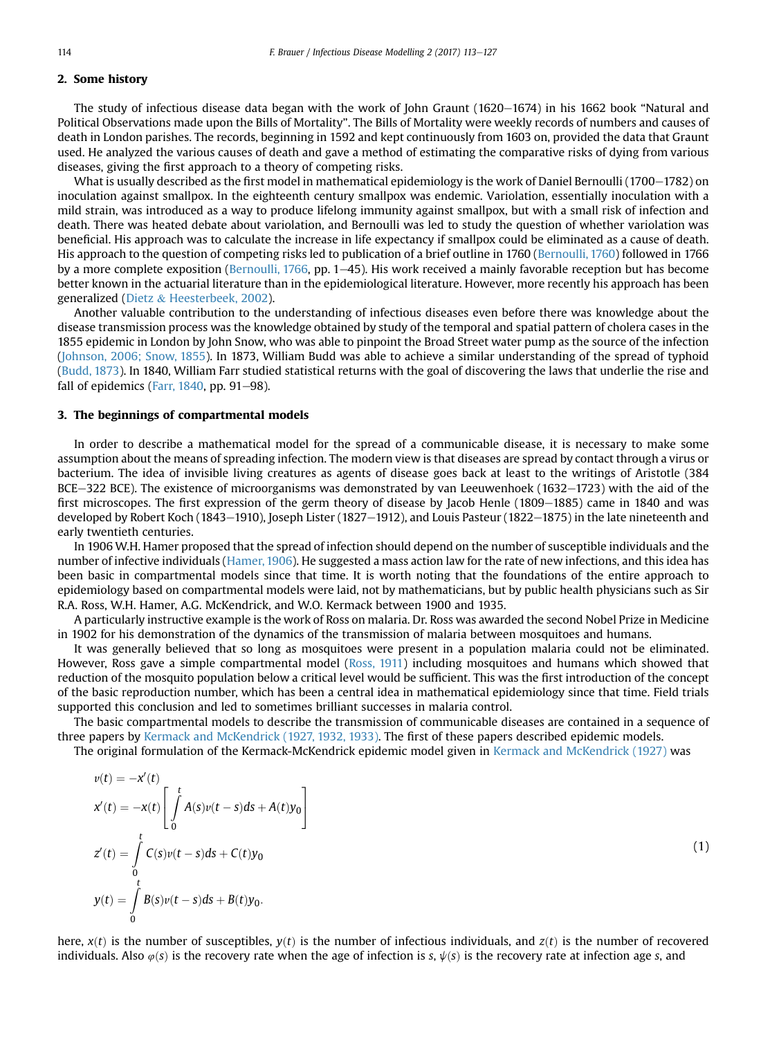# 2. Some history

The study of infectious disease data began with the work of John Graunt (1620-1674) in his 1662 book "Natural and Political Observations made upon the Bills of Mortality". The Bills of Mortality were weekly records of numbers and causes of death in London parishes. The records, beginning in 1592 and kept continuously from 1603 on, provided the data that Graunt used. He analyzed the various causes of death and gave a method of estimating the comparative risks of dying from various diseases, giving the first approach to a theory of competing risks.

What is usually described as the first model in mathematical epidemiology is the work of Daniel Bernoulli (1700–1782) on inoculation against smallpox. In the eighteenth century smallpox was endemic. Variolation, essentially inoculation with a mild strain, was introduced as a way to produce lifelong immunity against smallpox, but with a small risk of infection and death. There was heated debate about variolation, and Bernoulli was led to study the question of whether variolation was beneficial. His approach was to calculate the increase in life expectancy if smallpox could be eliminated as a cause of death. His approach to the question of competing risks led to publication of a brief outline in 1760 (Bernoulli, 1760) followed in 1766 by a more complete exposition (Bernoulli, 1766, pp. 1–45). His work received a mainly favorable reception but has become better known in the actuarial literature than in the epidemiological literature. However, more recently his approach has been generalized (Dietz & Heesterbeek, 2002).

Another valuable contribution to the understanding of infectious diseases even before there was knowledge about the disease transmission process was the knowledge obtained by study of the temporal and spatial pattern of cholera cases in the 1855 epidemic in London by John Snow, who was able to pinpoint the Broad Street water pump as the source of the infection (Johnson, 2006; Snow, 1855). In 1873, William Budd was able to achieve a similar understanding of the spread of typhoid (Budd, 1873). In 1840, William Farr studied statistical returns with the goal of discovering the laws that underlie the rise and fall of epidemics (Farr,  $1840$ , pp. 91–98).

#### 3. The beginnings of compartmental models

In order to describe a mathematical model for the spread of a communicable disease, it is necessary to make some assumption about the means of spreading infection. The modern view is that diseases are spread by contact through a virus or bacterium. The idea of invisible living creatures as agents of disease goes back at least to the writings of Aristotle (384 BCE-322 BCE). The existence of microorganisms was demonstrated by van Leeuwenhoek (1632-1723) with the aid of the first microscopes. The first expression of the germ theory of disease by Jacob Henle (1809–1885) came in 1840 and was developed by Robert Koch (1843-1910), Joseph Lister (1827-1912), and Louis Pasteur (1822-1875) in the late nineteenth and early twentieth centuries.

In 1906 W.H. Hamer proposed that the spread of infection should depend on the number of susceptible individuals and the number of infective individuals (Hamer, 1906). He suggested a mass action law for the rate of new infections, and this idea has been basic in compartmental models since that time. It is worth noting that the foundations of the entire approach to epidemiology based on compartmental models were laid, not by mathematicians, but by public health physicians such as Sir R.A. Ross, W.H. Hamer, A.G. McKendrick, and W.O. Kermack between 1900 and 1935.

A particularly instructive example is the work of Ross on malaria. Dr. Ross was awarded the second Nobel Prize in Medicine in 1902 for his demonstration of the dynamics of the transmission of malaria between mosquitoes and humans.

It was generally believed that so long as mosquitoes were present in a population malaria could not be eliminated. However, Ross gave a simple compartmental model (Ross, 1911) including mosquitoes and humans which showed that reduction of the mosquito population below a critical level would be sufficient. This was the first introduction of the concept of the basic reproduction number, which has been a central idea in mathematical epidemiology since that time. Field trials supported this conclusion and led to sometimes brilliant successes in malaria control.

The basic compartmental models to describe the transmission of communicable diseases are contained in a sequence of three papers by Kermack and McKendrick (1927, 1932, 1933). The first of these papers described epidemic models.

The original formulation of the Kermack-McKendrick epidemic model given in Kermack and McKendrick (1927) was

$$
v(t) = -x'(t)
$$
  
\n
$$
x'(t) = -x(t) \left[ \int_{0}^{t} A(s)v(t - s)ds + A(t)y_0 \right]
$$
  
\n
$$
z'(t) = \int_{0}^{t} C(s)v(t - s)ds + C(t)y_0
$$
  
\n
$$
y(t) = \int_{0}^{t} B(s)v(t - s)ds + B(t)y_0.
$$
\n(1)

here,  $x(t)$  is the number of susceptibles,  $y(t)$  is the number of infectious individuals, and  $z(t)$  is the number of recovered individuals. Also  $\varphi(s)$  is the recovery rate when the age of infection is s,  $\psi(s)$  is the recovery rate at infection age s, and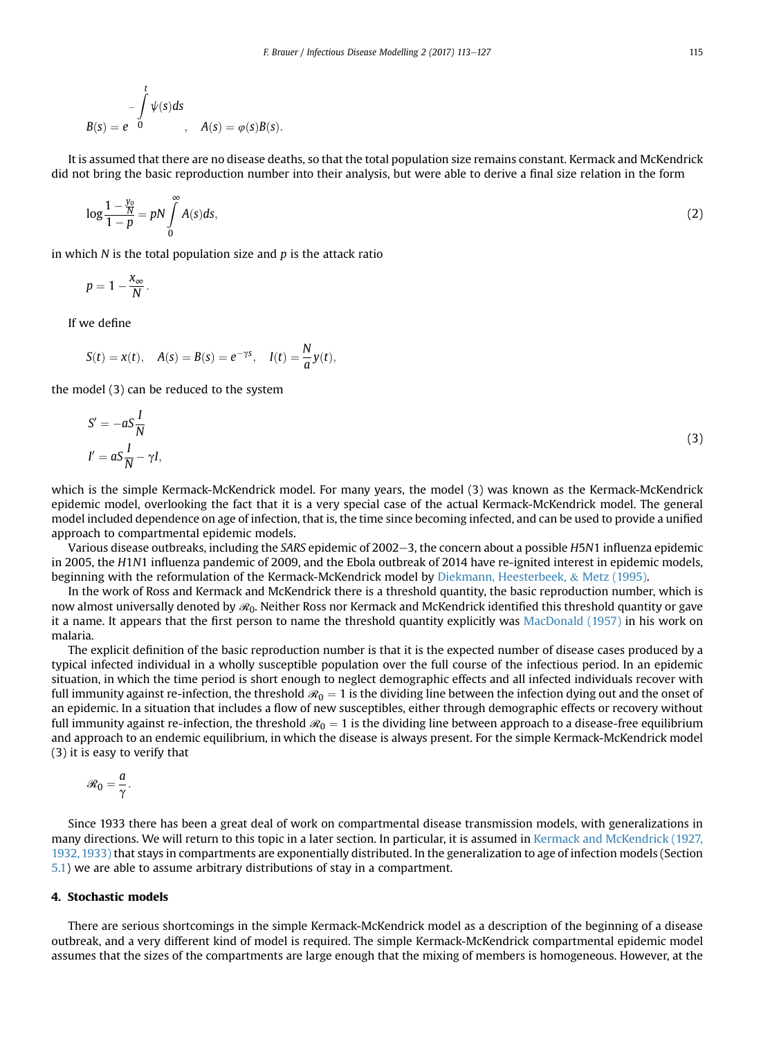$$
B(s) = e^{-\int_{0}^{t} \psi(s)ds}, \quad A(s) = \varphi(s)B(s).
$$

It is assumed that there are no disease deaths, so that the total population size remains constant. Kermack and McKendrick did not bring the basic reproduction number into their analysis, but were able to derive a final size relation in the form

$$
\log \frac{1 - \frac{y_0}{N}}{1 - p} = pN \int\limits_0^\infty A(s) ds, \tag{2}
$$

in which  $N$  is the total population size and  $p$  is the attack ratio

$$
p=1-\frac{x_{\infty}}{N}.
$$

If we define

$$
S(t) = x(t),
$$
  $A(s) = B(s) = e^{-\gamma s},$   $I(t) = \frac{N}{a}y(t),$ 

the model (3) can be reduced to the system

$$
S' = -aS\frac{I}{N}
$$
  

$$
I' = aS\frac{I}{N} - \gamma I,
$$
 (3)

which is the simple Kermack-McKendrick model. For many years, the model (3) was known as the Kermack-McKendrick epidemic model, overlooking the fact that it is a very special case of the actual Kermack-McKendrick model. The general model included dependence on age of infection, that is, the time since becoming infected, and can be used to provide a unified approach to compartmental epidemic models.

Various disease outbreaks, including the SARS epidemic of 2002–3, the concern about a possible H5N1 influenza epidemic in 2005, the H1N1 influenza pandemic of 2009, and the Ebola outbreak of 2014 have re-ignited interest in epidemic models, beginning with the reformulation of the Kermack-McKendrick model by Diekmann, Heesterbeek, & Metz (1995).

In the work of Ross and Kermack and McKendrick there is a threshold quantity, the basic reproduction number, which is now almost universally denoted by  $\mathcal{R}_0$ . Neither Ross nor Kermack and McKendrick identified this threshold quantity or gave it a name. It appears that the first person to name the threshold quantity explicitly was MacDonald (1957) in his work on malaria.

The explicit definition of the basic reproduction number is that it is the expected number of disease cases produced by a typical infected individual in a wholly susceptible population over the full course of the infectious period. In an epidemic situation, in which the time period is short enough to neglect demographic effects and all infected individuals recover with full immunity against re-infection, the threshold  $\mathcal{R}_0 = 1$  is the dividing line between the infection dying out and the onset of an epidemic. In a situation that includes a flow of new susceptibles, either through demographic effects or recovery without full immunity against re-infection, the threshold  $\mathcal{R}_0 = 1$  is the dividing line between approach to a disease-free equilibrium and approach to an endemic equilibrium, in which the disease is always present. For the simple Kermack-McKendrick model (3) it is easy to verify that

$$
\mathscr{R}_0=\frac{a}{\gamma}.
$$

Since 1933 there has been a great deal of work on compartmental disease transmission models, with generalizations in many directions. We will return to this topic in a later section. In particular, it is assumed in Kermack and McKendrick (1927, 1932, 1933) that stays in compartments are exponentially distributed. In the generalization to age of infection models (Section 5.1) we are able to assume arbitrary distributions of stay in a compartment.

#### 4. Stochastic models

There are serious shortcomings in the simple Kermack-McKendrick model as a description of the beginning of a disease outbreak, and a very different kind of model is required. The simple Kermack-McKendrick compartmental epidemic model assumes that the sizes of the compartments are large enough that the mixing of members is homogeneous. However, at the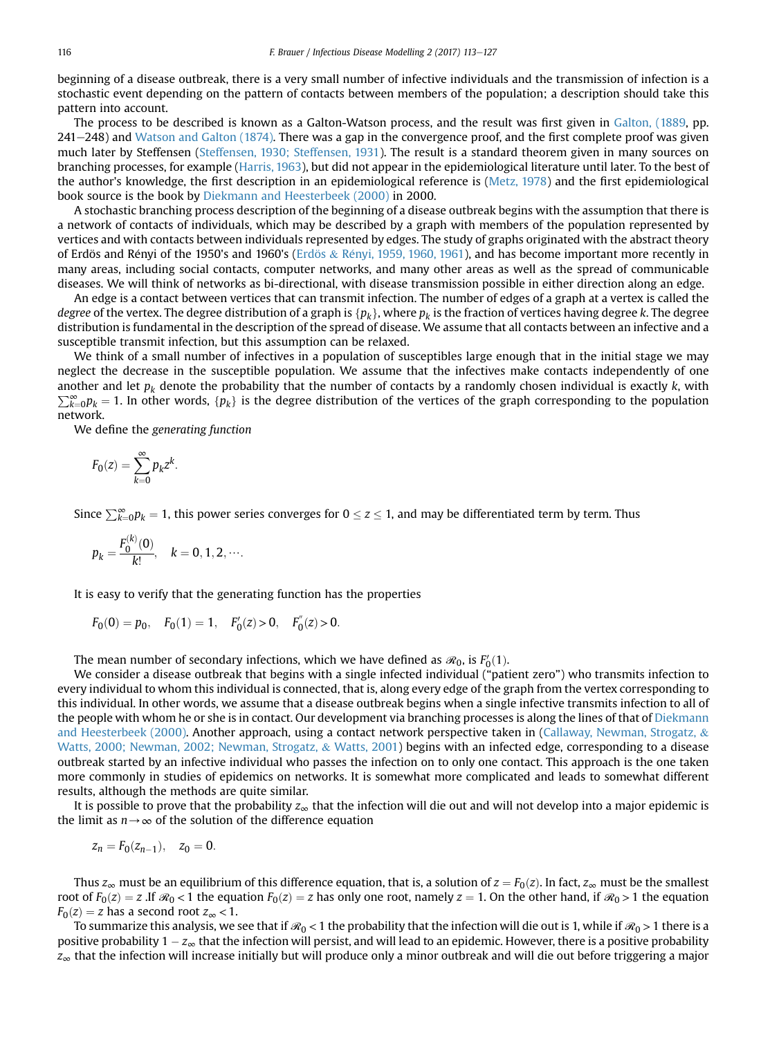beginning of a disease outbreak, there is a very small number of infective individuals and the transmission of infection is a stochastic event depending on the pattern of contacts between members of the population; a description should take this pattern into account.

The process to be described is known as a Galton-Watson process, and the result was first given in Galton, (1889, pp. 241–248) and Watson and Galton (1874). There was a gap in the convergence proof, and the first complete proof was given much later by Steffensen (Steffensen, 1930; Steffensen, 1931). The result is a standard theorem given in many sources on branching processes, for example (Harris, 1963), but did not appear in the epidemiological literature until later. To the best of the author's knowledge, the first description in an epidemiological reference is (Metz, 1978) and the first epidemiological book source is the book by Diekmann and Heesterbeek (2000) in 2000.

A stochastic branching process description of the beginning of a disease outbreak begins with the assumption that there is a network of contacts of individuals, which may be described by a graph with members of the population represented by vertices and with contacts between individuals represented by edges. The study of graphs originated with the abstract theory of Erdös and Rényi of the 1950's and 1960's (Erdös & Rényi, 1959, 1960, 1961), and has become important more recently in many areas, including social contacts, computer networks, and many other areas as well as the spread of communicable diseases. We will think of networks as bi-directional, with disease transmission possible in either direction along an edge.

An edge is a contact between vertices that can transmit infection. The number of edges of a graph at a vertex is called the degree of the vertex. The degree distribution of a graph is  $\{p_k\}$ , where  $p_k$  is the fraction of vertices having degree k. The degree distribution is fundamental in the description of the spread of disease. We assume that all contacts between an infective and a susceptible transmit infection, but this assumption can be relaxed.

We think of a small number of infectives in a population of susceptibles large enough that in the initial stage we may neglect the decrease in the susceptible population. We assume that the infectives make contacts independently of one another and let  $p_k$  denote the probability that the number of contacts by a randomly chosen individual is exactly k, with  $\sum_{k=0}^{\infty} p_k = 1$ . In other words,  $\{p_k\}$  is the degree distribution of the vertices of the graph corresponding to the population network network.

We define the generating function

$$
F_0(z) = \sum_{k=0}^{\infty} p_k z^k.
$$

Since  $\sum_{k=0}^{\infty} p_k = 1$ , this power series converges for  $0 \le z \le 1$ , and may be differentiated term by term. Thus

$$
p_k = \frac{F_0^{(k)}(0)}{k!}, \quad k = 0, 1, 2, \cdots.
$$

It is easy to verify that the generating function has the properties

$$
F_0(0) = p_0
$$
,  $F_0(1) = 1$ ,  $F'_0(z) > 0$ ,  $F''_0(z) > 0$ .

The mean number of secondary infections, which we have defined as  $\mathcal{R}_0$ , is  $F'_0(1)$ .<br>We consider a disease outbreak that begins with a single infected individual ("pat

We consider a disease outbreak that begins with a single infected individual ("patient zero") who transmits infection to every individual to whom this individual is connected, that is, along every edge of the graph from the vertex corresponding to this individual. In other words, we assume that a disease outbreak begins when a single infective transmits infection to all of the people with whom he or she is in contact. Our development via branching processes is along the lines of that of Diekmann and Heesterbeek (2000). Another approach, using a contact network perspective taken in (Callaway, Newman, Strogatz, & Watts, 2000; Newman, 2002; Newman, Strogatz, & Watts, 2001) begins with an infected edge, corresponding to a disease outbreak started by an infective individual who passes the infection on to only one contact. This approach is the one taken more commonly in studies of epidemics on networks. It is somewhat more complicated and leads to somewhat different results, although the methods are quite similar.

It is possible to prove that the probability  $z_{\infty}$  that the infection will die out and will not develop into a major epidemic is the limit as  $n \rightarrow \infty$  of the solution of the difference equation

$$
z_n = F_0(z_{n-1}), \quad z_0 = 0.
$$

Thus  $z_\infty$  must be an equilibrium of this difference equation, that is, a solution of  $z = F_0(z)$ . In fact,  $z_\infty$  must be the smallest root of  $F_0(z) = z$ . If  $\mathcal{R}_0 < 1$  the equation  $F_0(z) = z$  has only one root, namely  $z = 1$ . On the other hand, if  $\mathcal{R}_0 > 1$  the equation  $F_0(z) = z$  has a second root  $z_\infty < 1$ .

To summarize this analysis, we see that if  $\mathcal{R}_0$  < 1 the probability that the infection will die out is 1, while if  $\mathcal{R}_0$  > 1 there is a positive probability 1 – z<sub>∞</sub> that the infection will persist, and will lead to an epidemic. However, there is a positive probability<br>z a that the infection will increase initially but will produce only a minor outbreak an  $z_{\infty}$  that the infection will increase initially but will produce only a minor outbreak and will die out before triggering a major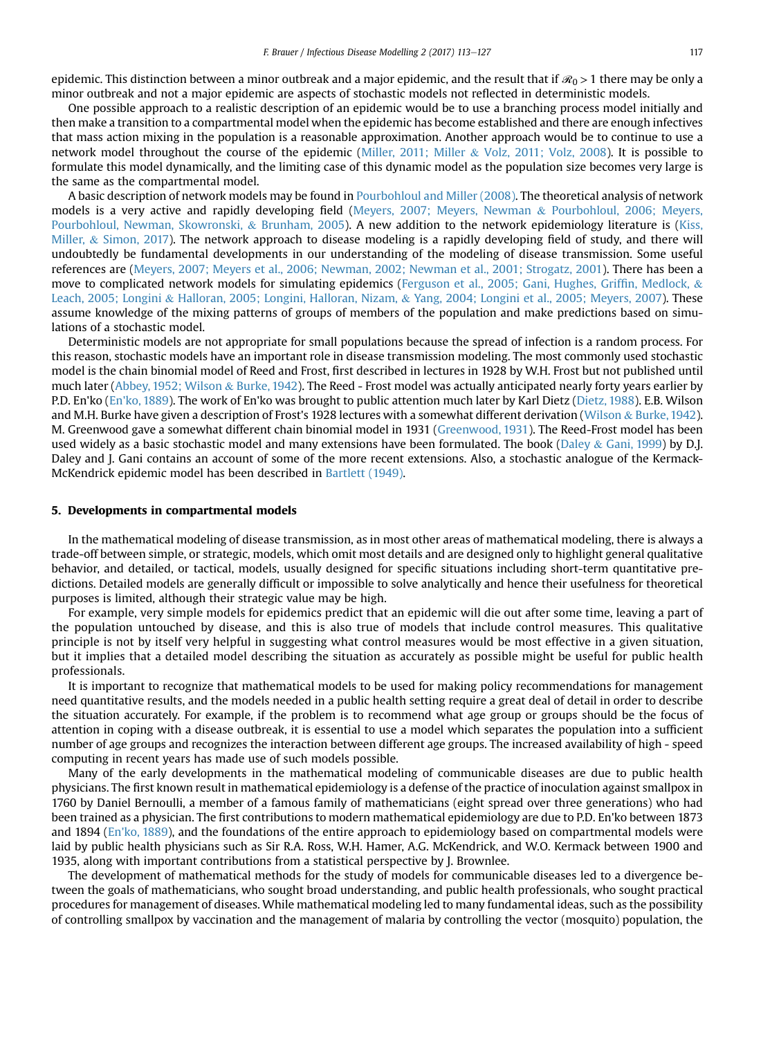epidemic. This distinction between a minor outbreak and a major epidemic, and the result that if  $\mathcal{R}_0 > 1$  there may be only a minor outbreak and not a major epidemic are aspects of stochastic models not reflected in deterministic models.

One possible approach to a realistic description of an epidemic would be to use a branching process model initially and then make a transition to a compartmental model when the epidemic has become established and there are enough infectives that mass action mixing in the population is a reasonable approximation. Another approach would be to continue to use a network model throughout the course of the epidemic (Miller, 2011; Miller & Volz, 2011; Volz, 2008). It is possible to formulate this model dynamically, and the limiting case of this dynamic model as the population size becomes very large is the same as the compartmental model.

A basic description of network models may be found in Pourbohloul and Miller (2008). The theoretical analysis of network models is a very active and rapidly developing field (Meyers, 2007; Meyers, Newman & Pourbohloul, 2006; Meyers, Pourbohloul, Newman, Skowronski, & Brunham, 2005). A new addition to the network epidemiology literature is (Kiss, Miller,  $\&$  Simon, 2017). The network approach to disease modeling is a rapidly developing field of study, and there will undoubtedly be fundamental developments in our understanding of the modeling of disease transmission. Some useful references are (Meyers, 2007; Meyers et al., 2006; Newman, 2002; Newman et al., 2001; Strogatz, 2001). There has been a move to complicated network models for simulating epidemics (Ferguson et al., 2005; Gani, Hughes, Griffin, Medlock, & Leach, 2005; Longini & Halloran, 2005; Longini, Halloran, Nizam, & Yang, 2004; Longini et al., 2005; Meyers, 2007). These assume knowledge of the mixing patterns of groups of members of the population and make predictions based on simulations of a stochastic model.

Deterministic models are not appropriate for small populations because the spread of infection is a random process. For this reason, stochastic models have an important role in disease transmission modeling. The most commonly used stochastic model is the chain binomial model of Reed and Frost, first described in lectures in 1928 by W.H. Frost but not published until much later (Abbey, 1952; Wilson & Burke, 1942). The Reed - Frost model was actually anticipated nearly forty years earlier by P.D. En'ko (En'ko, 1889). The work of En'ko was brought to public attention much later by Karl Dietz (Dietz, 1988). E.B. Wilson and M.H. Burke have given a description of Frost's 1928 lectures with a somewhat different derivation (Wilson & Burke, 1942). M. Greenwood gave a somewhat different chain binomial model in 1931 (Greenwood, 1931). The Reed-Frost model has been used widely as a basic stochastic model and many extensions have been formulated. The book (Daley & Gani, 1999) by D.J. Daley and J. Gani contains an account of some of the more recent extensions. Also, a stochastic analogue of the Kermack-McKendrick epidemic model has been described in Bartlett (1949).

#### 5. Developments in compartmental models

In the mathematical modeling of disease transmission, as in most other areas of mathematical modeling, there is always a trade-off between simple, or strategic, models, which omit most details and are designed only to highlight general qualitative behavior, and detailed, or tactical, models, usually designed for specific situations including short-term quantitative predictions. Detailed models are generally difficult or impossible to solve analytically and hence their usefulness for theoretical purposes is limited, although their strategic value may be high.

For example, very simple models for epidemics predict that an epidemic will die out after some time, leaving a part of the population untouched by disease, and this is also true of models that include control measures. This qualitative principle is not by itself very helpful in suggesting what control measures would be most effective in a given situation, but it implies that a detailed model describing the situation as accurately as possible might be useful for public health professionals.

It is important to recognize that mathematical models to be used for making policy recommendations for management need quantitative results, and the models needed in a public health setting require a great deal of detail in order to describe the situation accurately. For example, if the problem is to recommend what age group or groups should be the focus of attention in coping with a disease outbreak, it is essential to use a model which separates the population into a sufficient number of age groups and recognizes the interaction between different age groups. The increased availability of high - speed computing in recent years has made use of such models possible.

Many of the early developments in the mathematical modeling of communicable diseases are due to public health physicians. The first known result in mathematical epidemiology is a defense of the practice of inoculation against smallpox in 1760 by Daniel Bernoulli, a member of a famous family of mathematicians (eight spread over three generations) who had been trained as a physician. The first contributions to modern mathematical epidemiology are due to P.D. En'ko between 1873 and 1894 (En'ko, 1889), and the foundations of the entire approach to epidemiology based on compartmental models were laid by public health physicians such as Sir R.A. Ross, W.H. Hamer, A.G. McKendrick, and W.O. Kermack between 1900 and 1935, along with important contributions from a statistical perspective by J. Brownlee.

The development of mathematical methods for the study of models for communicable diseases led to a divergence between the goals of mathematicians, who sought broad understanding, and public health professionals, who sought practical procedures for management of diseases. While mathematical modeling led to many fundamental ideas, such as the possibility of controlling smallpox by vaccination and the management of malaria by controlling the vector (mosquito) population, the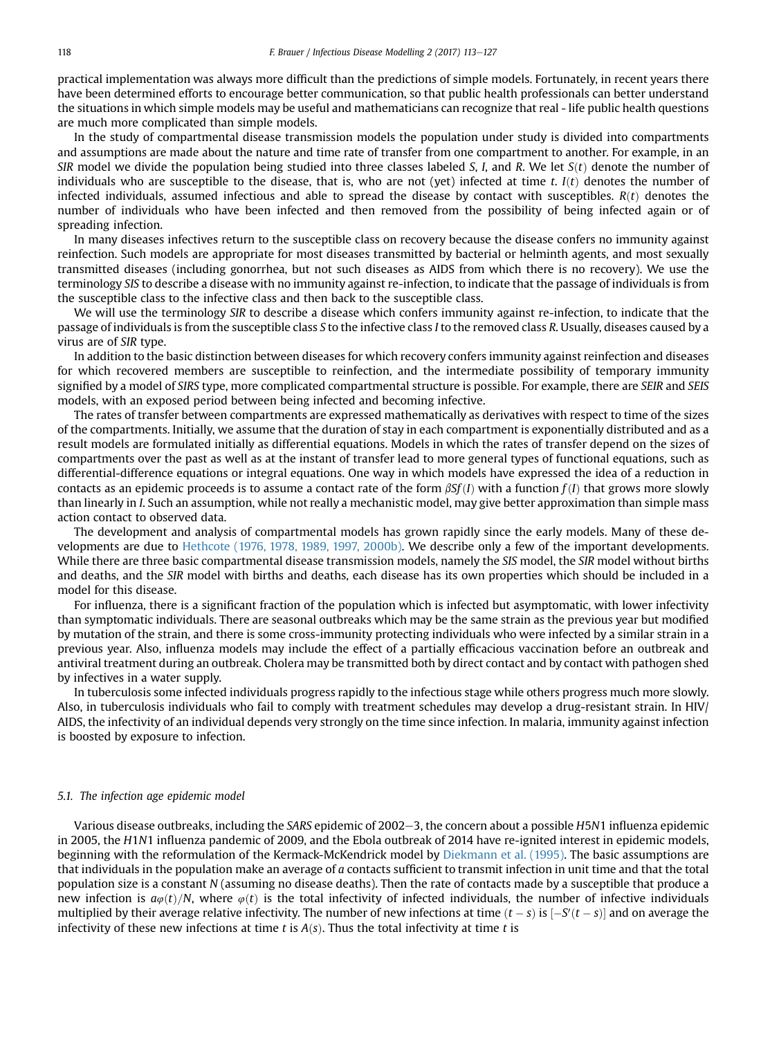practical implementation was always more difficult than the predictions of simple models. Fortunately, in recent years there have been determined efforts to encourage better communication, so that public health professionals can better understand the situations in which simple models may be useful and mathematicians can recognize that real - life public health questions are much more complicated than simple models.

In the study of compartmental disease transmission models the population under study is divided into compartments and assumptions are made about the nature and time rate of transfer from one compartment to another. For example, in an SIR model we divide the population being studied into three classes labeled S, I, and R. We let  $S(t)$  denote the number of individuals who are susceptible to the disease, that is, who are not (yet) infected at time t.  $I(t)$  denotes the number of infected individuals, assumed infectious and able to spread the disease by contact with susceptibles.  $R(t)$  denotes the number of individuals who have been infected and then removed from the possibility of being infected again or of spreading infection.

In many diseases infectives return to the susceptible class on recovery because the disease confers no immunity against reinfection. Such models are appropriate for most diseases transmitted by bacterial or helminth agents, and most sexually transmitted diseases (including gonorrhea, but not such diseases as AIDS from which there is no recovery). We use the terminology SIS to describe a disease with no immunity against re-infection, to indicate that the passage of individuals is from the susceptible class to the infective class and then back to the susceptible class.

We will use the terminology SIR to describe a disease which confers immunity against re-infection, to indicate that the passage of individuals is from the susceptible class S to the infective class I to the removed class R. Usually, diseases caused by a virus are of SIR type.

In addition to the basic distinction between diseases for which recovery confers immunity against reinfection and diseases for which recovered members are susceptible to reinfection, and the intermediate possibility of temporary immunity signified by a model of SIRS type, more complicated compartmental structure is possible. For example, there are SEIR and SEIS models, with an exposed period between being infected and becoming infective.

The rates of transfer between compartments are expressed mathematically as derivatives with respect to time of the sizes of the compartments. Initially, we assume that the duration of stay in each compartment is exponentially distributed and as a result models are formulated initially as differential equations. Models in which the rates of transfer depend on the sizes of compartments over the past as well as at the instant of transfer lead to more general types of functional equations, such as differential-difference equations or integral equations. One way in which models have expressed the idea of a reduction in contacts as an epidemic proceeds is to assume a contact rate of the form  $\beta Sf(I)$  with a function  $f(I)$  that grows more slowly than linearly in I. Such an assumption, while not really a mechanistic model, may give better approximation than simple mass action contact to observed data.

The development and analysis of compartmental models has grown rapidly since the early models. Many of these developments are due to Hethcote (1976, 1978, 1989, 1997, 2000b). We describe only a few of the important developments. While there are three basic compartmental disease transmission models, namely the SIS model, the SIR model without births and deaths, and the SIR model with births and deaths, each disease has its own properties which should be included in a model for this disease.

For influenza, there is a significant fraction of the population which is infected but asymptomatic, with lower infectivity than symptomatic individuals. There are seasonal outbreaks which may be the same strain as the previous year but modified by mutation of the strain, and there is some cross-immunity protecting individuals who were infected by a similar strain in a previous year. Also, influenza models may include the effect of a partially efficacious vaccination before an outbreak and antiviral treatment during an outbreak. Cholera may be transmitted both by direct contact and by contact with pathogen shed by infectives in a water supply.

In tuberculosis some infected individuals progress rapidly to the infectious stage while others progress much more slowly. Also, in tuberculosis individuals who fail to comply with treatment schedules may develop a drug-resistant strain. In HIV/ AIDS, the infectivity of an individual depends very strongly on the time since infection. In malaria, immunity against infection is boosted by exposure to infection.

# 5.1. The infection age epidemic model

Various disease outbreaks, including the SARS epidemic of 2002-3, the concern about a possible H5N1 influenza epidemic in 2005, the H1N1 influenza pandemic of 2009, and the Ebola outbreak of 2014 have re-ignited interest in epidemic models, beginning with the reformulation of the Kermack-McKendrick model by Diekmann et al. (1995). The basic assumptions are that individuals in the population make an average of a contacts sufficient to transmit infection in unit time and that the total population size is a constant N (assuming no disease deaths). Then the rate of contacts made by a susceptible that produce a new infection is  $a\varphi(t)/N$ , where  $\varphi(t)$  is the total infectivity of infected individuals, the number of infective individuals multiplied by their average relative infectivity. The number of new infections at time  $(t - s)$  is  $[-S'(t - s)]$  and on average the<br>infectivity of these new infections at time t is  $A(s)$ . Thus the total infectivity at time t is infectivity of these new infections at time t is  $A(s)$ . Thus the total infectivity at time t is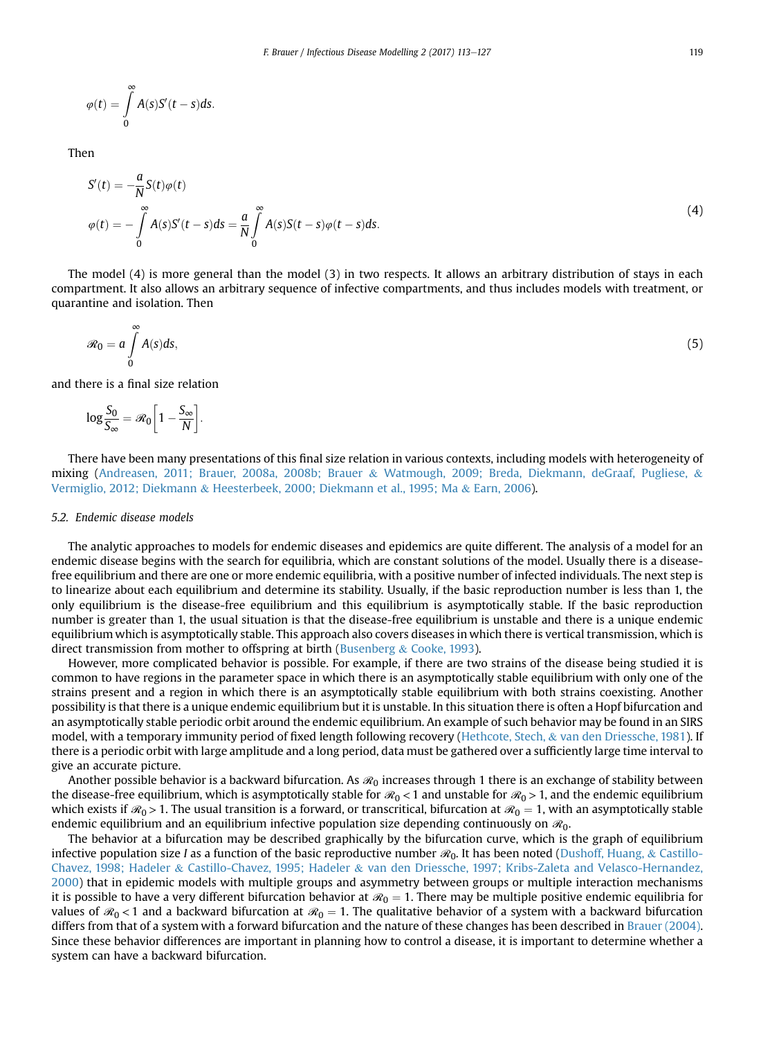Then

$$
S'(t) = -\frac{a}{N}S(t)\varphi(t)
$$
  
\n
$$
\varphi(t) = -\int_{0}^{\infty} A(s)S'(t-s)ds = \frac{a}{N}\int_{0}^{\infty} A(s)S(t-s)\varphi(t-s)ds.
$$
\n(4)

The model (4) is more general than the model (3) in two respects. It allows an arbitrary distribution of stays in each compartment. It also allows an arbitrary sequence of infective compartments, and thus includes models with treatment, or quarantine and isolation. Then

$$
\mathcal{R}_0 = a \int_0^\infty A(s) ds, \tag{5}
$$

and there is a final size relation

$$
\log \frac{S_0}{S_{\infty}} = \mathcal{R}_0 \left[ 1 - \frac{S_{\infty}}{N} \right].
$$

There have been many presentations of this final size relation in various contexts, including models with heterogeneity of mixing (Andreasen, 2011; Brauer, 2008a, 2008b; Brauer & Watmough, 2009; Breda, Diekmann, deGraaf, Pugliese, & Vermiglio, 2012; Diekmann & Heesterbeek, 2000; Diekmann et al., 1995; Ma & Earn, 2006).

### 5.2. Endemic disease models

The analytic approaches to models for endemic diseases and epidemics are quite different. The analysis of a model for an endemic disease begins with the search for equilibria, which are constant solutions of the model. Usually there is a diseasefree equilibrium and there are one or more endemic equilibria, with a positive number of infected individuals. The next step is to linearize about each equilibrium and determine its stability. Usually, if the basic reproduction number is less than 1, the only equilibrium is the disease-free equilibrium and this equilibrium is asymptotically stable. If the basic reproduction number is greater than 1, the usual situation is that the disease-free equilibrium is unstable and there is a unique endemic equilibrium which is asymptotically stable. This approach also covers diseases in which there is vertical transmission, which is direct transmission from mother to offspring at birth (Busenberg  $\&$  Cooke, 1993).

However, more complicated behavior is possible. For example, if there are two strains of the disease being studied it is common to have regions in the parameter space in which there is an asymptotically stable equilibrium with only one of the strains present and a region in which there is an asymptotically stable equilibrium with both strains coexisting. Another possibility is that there is a unique endemic equilibrium but it is unstable. In this situation there is often a Hopf bifurcation and an asymptotically stable periodic orbit around the endemic equilibrium. An example of such behavior may be found in an SIRS model, with a temporary immunity period of fixed length following recovery (Hethcote, Stech, & van den Driessche, 1981). If there is a periodic orbit with large amplitude and a long period, data must be gathered over a sufficiently large time interval to give an accurate picture.

Another possible behavior is a backward bifurcation. As  $\mathcal{R}_0$  increases through 1 there is an exchange of stability between the disease-free equilibrium, which is asymptotically stable for  $\Re g$  < 1 and unstable for  $\Re g$  > 1, and the endemic equilibrium which exists if  $\mathcal{R}_0 > 1$ . The usual transition is a forward, or transcritical, bifurcation at  $\mathcal{R}_0 = 1$ , with an asymptotically stable endemic equilibrium and an equilibrium infective population size depending continuously on  $\mathcal{R}_0$ .

The behavior at a bifurcation may be described graphically by the bifurcation curve, which is the graph of equilibrium infective population size I as a function of the basic reproductive number  $\mathcal{R}_0$ . It has been noted (Dushoff, Huang, & Castillo-Chavez, 1998; Hadeler & Castillo-Chavez, 1995; Hadeler & van den Driessche, 1997; Kribs-Zaleta and Velasco-Hernandez, 2000) that in epidemic models with multiple groups and asymmetry between groups or multiple interaction mechanisms it is possible to have a very different bifurcation behavior at  $\Re_0 = 1$ . There may be multiple positive endemic equilibria for values of  $\mathcal{R}_0$  < 1 and a backward bifurcation at  $\mathcal{R}_0 = 1$ . The qualitative behavior of a system with a backward bifurcation differs from that of a system with a forward bifurcation and the nature of these changes has been described in Brauer (2004). Since these behavior differences are important in planning how to control a disease, it is important to determine whether a system can have a backward bifurcation.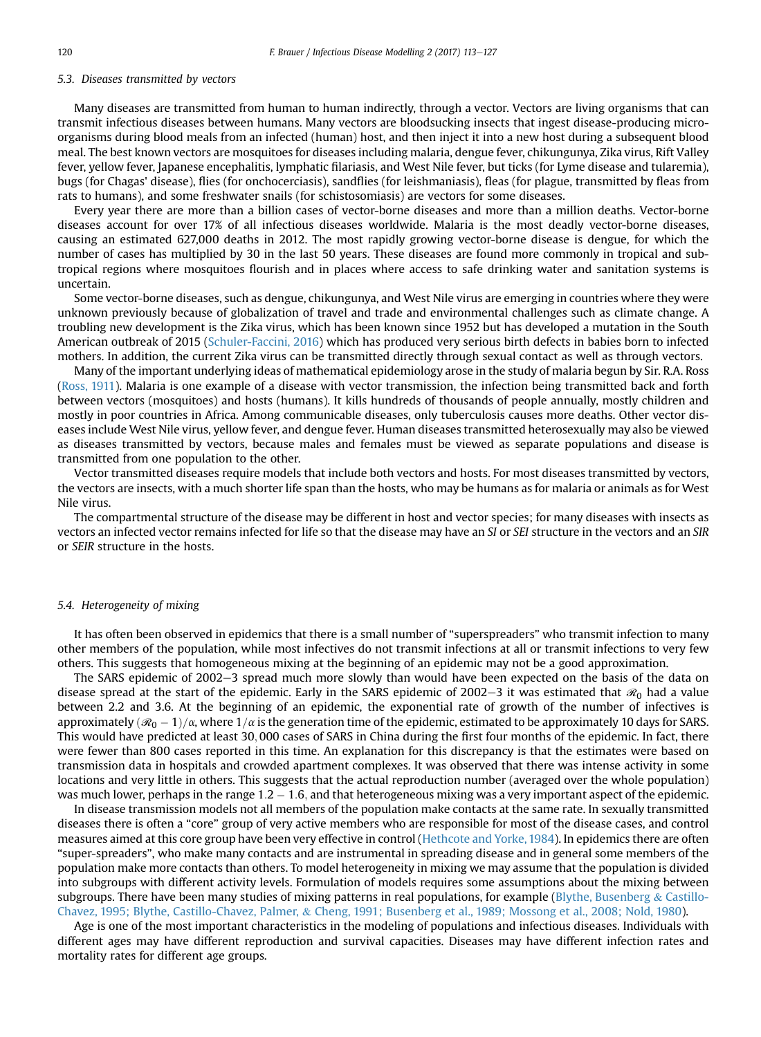# 5.3. Diseases transmitted by vectors

Many diseases are transmitted from human to human indirectly, through a vector. Vectors are living organisms that can transmit infectious diseases between humans. Many vectors are bloodsucking insects that ingest disease-producing microorganisms during blood meals from an infected (human) host, and then inject it into a new host during a subsequent blood meal. The best known vectors are mosquitoes for diseases including malaria, dengue fever, chikungunya, Zika virus, Rift Valley fever, yellow fever, Japanese encephalitis, lymphatic filariasis, and West Nile fever, but ticks (for Lyme disease and tularemia), bugs (for Chagas' disease), flies (for onchocerciasis), sandflies (for leishmaniasis), fleas (for plague, transmitted by fleas from rats to humans), and some freshwater snails (for schistosomiasis) are vectors for some diseases.

Every year there are more than a billion cases of vector-borne diseases and more than a million deaths. Vector-borne diseases account for over 17% of all infectious diseases worldwide. Malaria is the most deadly vector-borne diseases, causing an estimated 627,000 deaths in 2012. The most rapidly growing vector-borne disease is dengue, for which the number of cases has multiplied by 30 in the last 50 years. These diseases are found more commonly in tropical and subtropical regions where mosquitoes flourish and in places where access to safe drinking water and sanitation systems is uncertain.

Some vector-borne diseases, such as dengue, chikungunya, and West Nile virus are emerging in countries where they were unknown previously because of globalization of travel and trade and environmental challenges such as climate change. A troubling new development is the Zika virus, which has been known since 1952 but has developed a mutation in the South American outbreak of 2015 (Schuler-Faccini, 2016) which has produced very serious birth defects in babies born to infected mothers. In addition, the current Zika virus can be transmitted directly through sexual contact as well as through vectors.

Many of the important underlying ideas of mathematical epidemiology arose in the study of malaria begun by Sir. R.A. Ross (Ross, 1911). Malaria is one example of a disease with vector transmission, the infection being transmitted back and forth between vectors (mosquitoes) and hosts (humans). It kills hundreds of thousands of people annually, mostly children and mostly in poor countries in Africa. Among communicable diseases, only tuberculosis causes more deaths. Other vector diseases include West Nile virus, yellow fever, and dengue fever. Human diseases transmitted heterosexually may also be viewed as diseases transmitted by vectors, because males and females must be viewed as separate populations and disease is transmitted from one population to the other.

Vector transmitted diseases require models that include both vectors and hosts. For most diseases transmitted by vectors, the vectors are insects, with a much shorter life span than the hosts, who may be humans as for malaria or animals as for West Nile virus.

The compartmental structure of the disease may be different in host and vector species; for many diseases with insects as vectors an infected vector remains infected for life so that the disease may have an SI or SEI structure in the vectors and an SIR or SEIR structure in the hosts.

#### 5.4. Heterogeneity of mixing

It has often been observed in epidemics that there is a small number of "superspreaders" who transmit infection to many other members of the population, while most infectives do not transmit infections at all or transmit infections to very few others. This suggests that homogeneous mixing at the beginning of an epidemic may not be a good approximation.

The SARS epidemic of 2002-3 spread much more slowly than would have been expected on the basis of the data on disease spread at the start of the epidemic. Early in the SARS epidemic of 2002-3 it was estimated that  $\Re_0$  had a value between 2.2 and 3.6. At the beginning of an epidemic, the exponential rate of growth of the number of infectives is approximately  $(\mathcal{R}_0 - 1)/\alpha$ , where  $1/\alpha$  is the generation time of the epidemic, estimated to be approximately 10 days for SARS.<br>This would have predicted at least 30,000 cases of SARS in China during the first four mo This would have predicted at least 30; 000 cases of SARS in China during the first four months of the epidemic. In fact, there were fewer than 800 cases reported in this time. An explanation for this discrepancy is that the estimates were based on transmission data in hospitals and crowded apartment complexes. It was observed that there was intense activity in some locations and very little in others. This suggests that the actual reproduction number (averaged over the whole population) was much lower, perhaps in the range 1.2 – 1.6, and that heterogeneous mixing was a very important aspect of the epidemic.<br>In disease transmission models not all members of the population make contacts at the same rate. In

In disease transmission models not all members of the population make contacts at the same rate. In sexually transmitted diseases there is often a "core" group of very active members who are responsible for most of the disease cases, and control measures aimed at this core group have been very effective in control (Hethcote and Yorke, 1984). In epidemics there are often "super-spreaders", who make many contacts and are instrumental in spreading disease and in general some members of the population make more contacts than others. To model heterogeneity in mixing we may assume that the population is divided into subgroups with different activity levels. Formulation of models requires some assumptions about the mixing between subgroups. There have been many studies of mixing patterns in real populations, for example (Blythe, Busenberg & Castillo-Chavez, 1995; Blythe, Castillo-Chavez, Palmer, & Cheng, 1991; Busenberg et al., 1989; Mossong et al., 2008; Nold, 1980).

Age is one of the most important characteristics in the modeling of populations and infectious diseases. Individuals with different ages may have different reproduction and survival capacities. Diseases may have different infection rates and mortality rates for different age groups.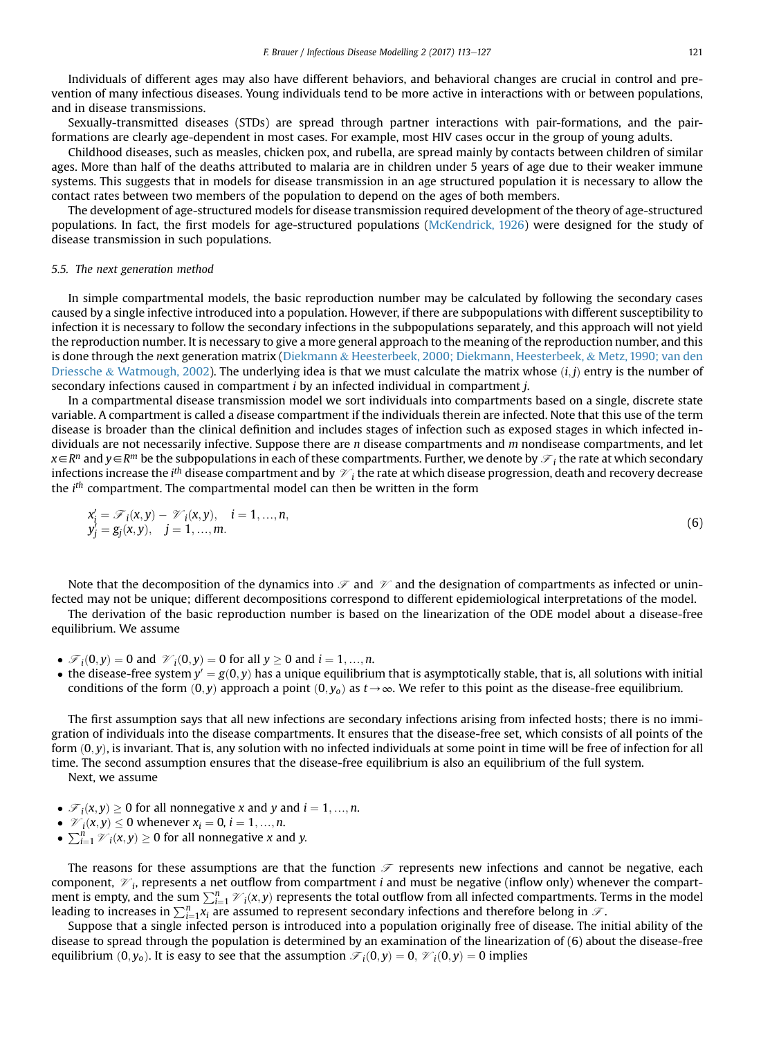Individuals of different ages may also have different behaviors, and behavioral changes are crucial in control and prevention of many infectious diseases. Young individuals tend to be more active in interactions with or between populations, and in disease transmissions.

Sexually-transmitted diseases (STDs) are spread through partner interactions with pair-formations, and the pairformations are clearly age-dependent in most cases. For example, most HIV cases occur in the group of young adults.

Childhood diseases, such as measles, chicken pox, and rubella, are spread mainly by contacts between children of similar ages. More than half of the deaths attributed to malaria are in children under 5 years of age due to their weaker immune systems. This suggests that in models for disease transmission in an age structured population it is necessary to allow the contact rates between two members of the population to depend on the ages of both members.

The development of age-structured models for disease transmission required development of the theory of age-structured populations. In fact, the first models for age-structured populations (McKendrick, 1926) were designed for the study of disease transmission in such populations.

#### 5.5. The next generation method

In simple compartmental models, the basic reproduction number may be calculated by following the secondary cases caused by a single infective introduced into a population. However, if there are subpopulations with different susceptibility to infection it is necessary to follow the secondary infections in the subpopulations separately, and this approach will not yield the reproduction number. It is necessary to give a more general approach to the meaning of the reproduction number, and this is done through the next generation matrix (Diekmann & Heesterbeek, 2000; Diekmann, Heesterbeek, & Metz, 1990; van den Driessche & Watmough, 2002). The underlying idea is that we must calculate the matrix whose  $(i, j)$  entry is the number of secondary infections caused in compartment i by an infected individual in compartment j.

In a compartmental disease transmission model we sort individuals into compartments based on a single, discrete state variable. A compartment is called a disease compartment if the individuals therein are infected. Note that this use of the term disease is broader than the clinical definition and includes stages of infection such as exposed stages in which infected individuals are not necessarily infective. Suppose there are  $n$  disease compartments and  $m$  nondisease compartments, and let  $x\in\mathbb{R}^n$  and  $y\in\mathbb{R}^m$  be the subpopulations in each of these compartments. Further, we denote by  $\mathscr{F}_i$  the rate at which secondary infections increase the i<sup>th</sup> disease compartment and by  ${\mathscr V}_i$  the rate at which disease progression, death and recovery decrease the i<sup>th</sup> compartment. The compartmental model can then be written in the form

$$
x'_{i} = \mathcal{F}_{i}(x, y) - \mathcal{V}_{i}(x, y), \quad i = 1, ..., n,y'_{j} = g_{j}(x, y), \quad j = 1, ..., m.
$$
 (6)

Note that the decomposition of the dynamics into  $\mathcal F$  and  $\mathcal V$  and the designation of compartments as infected or uninfected may not be unique; different decompositions correspond to different epidemiological interpretations of the model.

The derivation of the basic reproduction number is based on the linearization of the ODE model about a disease-free equilibrium. We assume

- $\widehat{\mathcal{F}}_i(0, y) = 0$  and  $\mathcal{V}_i(0, y) = 0$  for all  $y > 0$  and  $i = 1, ..., n$ .
- the disease-free system  $y' = g(0, y)$  has a unique equilibrium that is asymptotically stable, that is, all solutions with initial conditions of the form  $(0, y)$  approach a point  $(0, y_0)$  as  $t \rightarrow \infty$ . We refer to this point as the disease-free equilibrium.

The first assumption says that all new infections are secondary infections arising from infected hosts; there is no immigration of individuals into the disease compartments. It ensures that the disease-free set, which consists of all points of the form  $(0, y)$ , is invariant. That is, any solution with no infected individuals at some point in time will be free of infection for all time. The second assumption ensures that the disease-free equilibrium is also an equilibrium of the full system.

Next, we assume

- $\bullet \mathcal{F}_i(x, y) > 0$  for all nonnegative x and y and  $i = 1, ..., n$ .
- $\mathcal{V}_i(x, y) \leq 0$  whenever  $x_i = 0$ ,  $i = 1, ..., n$ .
- $\sum_{i=1}^{n} \mathcal{V}_i(x, y) \ge 0$  for all nonnegative x and y.

The reasons for these assumptions are that the function  $\mathcal F$  represents new infections and cannot be negative, each component,  $\mathcal{V}_i$ , represents a net outflow from compartment *i* and must be negative (inflow only) whenever the compartment is empty, and the sum  $\sum_{i=1}^{n} \mathcal{V}_i(x, y)$  represents the total outflow from all infected compartments. Terms in the model leading to increases in  $\sum_{i=1}^{n} x_i$  are assumed to represent secondary infections and therefore belong in  $\mathcal{F}$ .

Suppose that a single infected person is introduced into a population originally free of disease. The initial ability of the disease to spread through the population is determined by an examination of the linearization of (6) about the disease-free equilibrium  $(0, y_0)$ . It is easy to see that the assumption  $\mathcal{F}_i(0, y) = 0$ ,  $\mathcal{V}_i(0, y) = 0$  implies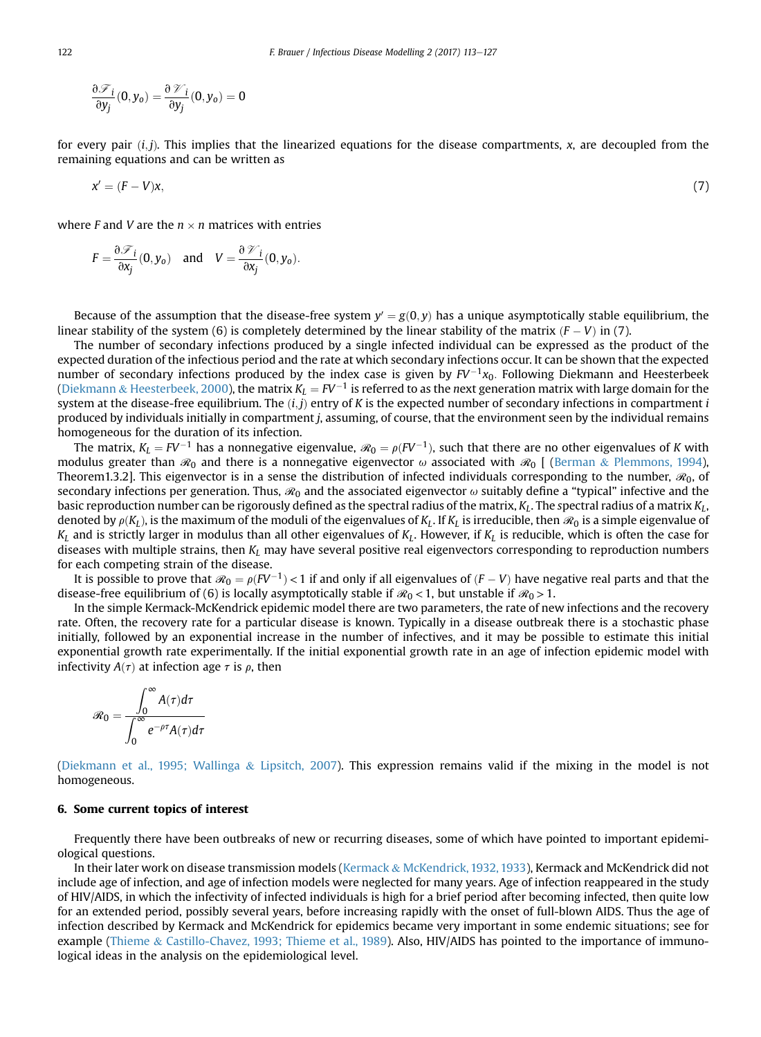$$
\frac{\partial \mathcal{F}_i}{\partial y_j}(0, y_o) = \frac{\partial \mathcal{V}_i}{\partial y_j}(0, y_o) = 0
$$

for every pair  $(i, j)$ . This implies that the linearized equations for the disease compartments, x, are decoupled from the remaining equations and can be written as

$$
x' = (F - V)x,\tag{7}
$$

where F and V are the  $n \times n$  matrices with entries

$$
F = \frac{\partial \mathcal{F}_i}{\partial x_j}(0, y_o) \quad \text{and} \quad V = \frac{\partial \mathcal{V}_i}{\partial x_j}(0, y_o).
$$

Because of the assumption that the disease-free system  $y' = g(0, y)$  has a unique asymptotically stable equilibrium, the linear stability of the system (6) is completely determined by the linear stability of the matrix  $(F - V)$  in (7).<br>The number of secondary infections produced by a single infected individual can be expressed as the

The number of secondary infections produced by a single infected individual can be expressed as the product of the expected duration of the infectious period and the rate at which secondary infections occur. It can be shown that the expected number of secondary infections produced by the index case is given by  $FV^{-1}x_0$ . Following Diekmann and Heesterbeek (Diekmann & Heesterbeek, 2000), the matrix  $K_L = FV^{-1}$  is referred to as the next generation matrix with large domain for the<br>system at the disease-free equilibrium. The (i, i) entry of K is the expected number of secondar system at the disease-free equilibrium. The  $(i, j)$  entry of K is the expected number of secondary infections in compartment i produced by individuals initially in compartment j, assuming, of course, that the environment seen by the individual remains homogeneous for the duration of its infection.

The matrix,  $K_L = FV^{-1}$  has a nonnegative eigenvalue,  $\mathcal{R}_0 = \rho (FV^{-1})$ , such that there are no other eigenvalues of K with<br>dulus greater than  $\mathcal{R}_2$  and there is a nonnegative eigenvector  $\omega$  associated with  $\mathcal{R}_2$ modulus greater than  $\mathcal{R}_0$  and there is a nonnegative eigenvector  $\omega$  associated with  $\mathcal{R}_0$  [ (Berman & Plemmons, 1994), Theorem1.3.2]. This eigenvector is in a sense the distribution of infected individuals corresponding to the number,  $\mathcal{R}_0$ , of secondary infections per generation. Thus,  $\mathcal{R}_0$  and the associated eigenvector  $\omega$  suitably define a "typical" infective and the basic reproduction number can be rigorously defined as the spectral radius of the matrix,  $K_L$ . The spectral radius of a matrix  $K_L$ , denoted by  $\rho(K_L)$ , is the maximum of the moduli of the eigenvalues of  $K_L$ . If  $K_L$  is irreducible, then  $\mathcal{R}_0$  is a simple eigenvalue of  $K_l$  and is strictly larger in modulus than all other eigenvalues of  $K_l$ . However, if  $K_l$  is reducible, which is often the case for diseases with multiple strains, then  $K_L$  may have several positive real eigenvectors corresponding to reproduction numbers for each competing strain of the disease.

It is possible to prove that  $\mathcal{R}_0 = \rho (FV^{-1}) < 1$  if and only if all eigenvalues of  $(F - V)$  have negative real parts and that the area-free equilibrium of (6) is locally asymptotically stable if  $\mathcal{R}_2 < 1$  but unstable disease-free equilibrium of (6) is locally asymptotically stable if  $\mathcal{R}_0$  < 1, but unstable if  $\mathcal{R}_0 > 1$ .

In the simple Kermack-McKendrick epidemic model there are two parameters, the rate of new infections and the recovery rate. Often, the recovery rate for a particular disease is known. Typically in a disease outbreak there is a stochastic phase initially, followed by an exponential increase in the number of infectives, and it may be possible to estimate this initial exponential growth rate experimentally. If the initial exponential growth rate in an age of infection epidemic model with infectivity  $A(\tau)$  at infection age  $\tau$  is  $\rho$ , then

$$
\mathcal{R}_0 = \frac{\displaystyle\int_0^\infty A(\tau) d\tau}{\displaystyle\int_0^\infty e^{-\rho\tau} A(\tau) d\tau}
$$

(Diekmann et al., 1995; Wallinga & Lipsitch, 2007). This expression remains valid if the mixing in the model is not homogeneous.

# 6. Some current topics of interest

Frequently there have been outbreaks of new or recurring diseases, some of which have pointed to important epidemiological questions.

In their later work on disease transmission models (Kermack & McKendrick, 1932, 1933), Kermack and McKendrick did not include age of infection, and age of infection models were neglected for many years. Age of infection reappeared in the study of HIV/AIDS, in which the infectivity of infected individuals is high for a brief period after becoming infected, then quite low for an extended period, possibly several years, before increasing rapidly with the onset of full-blown AIDS. Thus the age of infection described by Kermack and McKendrick for epidemics became very important in some endemic situations; see for example (Thieme & Castillo-Chavez, 1993; Thieme et al., 1989). Also, HIV/AIDS has pointed to the importance of immunological ideas in the analysis on the epidemiological level.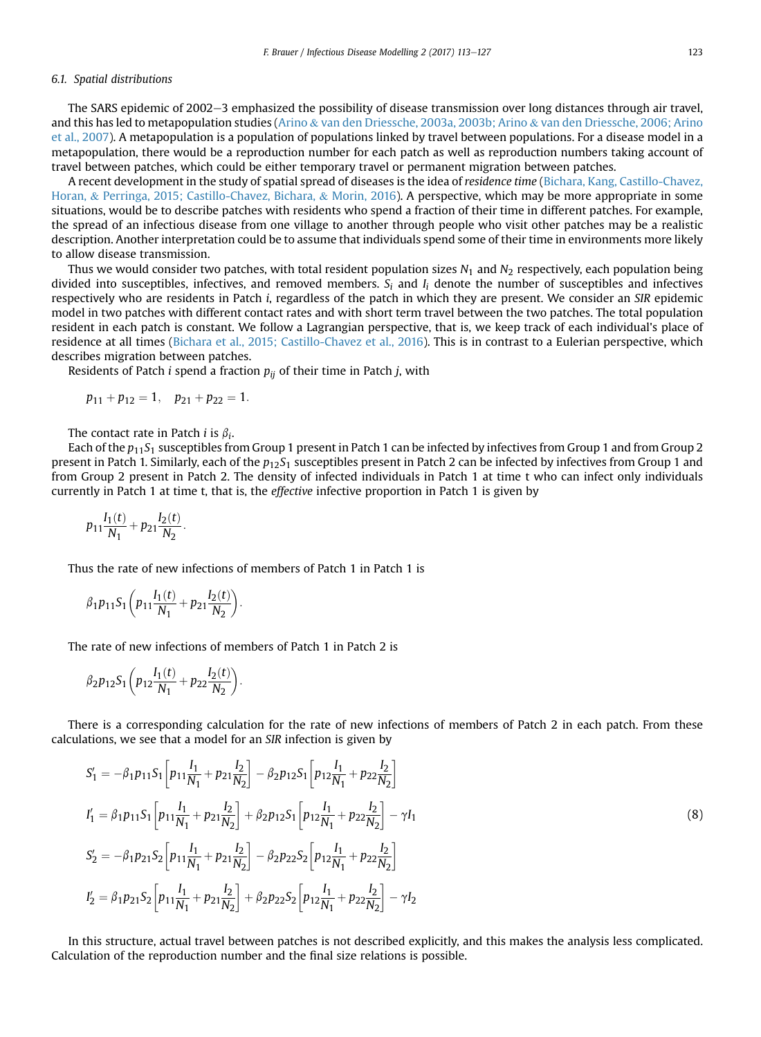# 6.1. Spatial distributions

The SARS epidemic of 2002–3 emphasized the possibility of disease transmission over long distances through air travel, and this has led to metapopulation studies (Arino & van den Driessche, 2003a, 2003b; Arino & van den Driessche, 2006; Arino et al., 2007). A metapopulation is a population of populations linked by travel between populations. For a disease model in a metapopulation, there would be a reproduction number for each patch as well as reproduction numbers taking account of travel between patches, which could be either temporary travel or permanent migration between patches.

A recent development in the study of spatial spread of diseases is the idea of residence time (Bichara, Kang, Castillo-Chavez, Horan, & Perringa, 2015; Castillo-Chavez, Bichara, & Morin, 2016). A perspective, which may be more appropriate in some situations, would be to describe patches with residents who spend a fraction of their time in different patches. For example, the spread of an infectious disease from one village to another through people who visit other patches may be a realistic description. Another interpretation could be to assume that individuals spend some of their time in environments more likely to allow disease transmission.

Thus we would consider two patches, with total resident population sizes  $N_1$  and  $N_2$  respectively, each population being divided into susceptibles, infectives, and removed members.  $S_i$  and  $I_i$  denote the number of susceptibles and infectives respectively who are residents in Patch i, regardless of the patch in which they are present. We consider an SIR epidemic model in two patches with different contact rates and with short term travel between the two patches. The total population resident in each patch is constant. We follow a Lagrangian perspective, that is, we keep track of each individual's place of residence at all times (Bichara et al., 2015; Castillo-Chavez et al., 2016). This is in contrast to a Eulerian perspective, which describes migration between patches.

Residents of Patch *i* spend a fraction  $p_{ii}$  of their time in Patch *j*, with

$$
p_{11}+p_{12}=1, p_{21}+p_{22}=1.
$$

The contact rate in Patch *i* is  $\beta_i$ .

Each of the  $p_{11}S_1$  susceptibles from Group 1 present in Patch 1 can be infected by infectives from Group 1 and from Group 2 present in Patch 1. Similarly, each of the  $p_1S_1$  susceptibles present in Patch 2 can be infected by infectives from Group 1 and from Group 2 present in Patch 2. The density of infected individuals in Patch 1 at time t who can infect only individuals currently in Patch 1 at time t, that is, the effective infective proportion in Patch 1 is given by

$$
p_{11}\frac{I_1(t)}{N_1}+p_{21}\frac{I_2(t)}{N_2}.
$$

Thus the rate of new infections of members of Patch 1 in Patch 1 is

$$
\beta_1 p_{11} S_1 \left( p_{11} \frac{I_1(t)}{N_1} + p_{21} \frac{I_2(t)}{N_2} \right).
$$

The rate of new infections of members of Patch 1 in Patch 2 is

$$
\beta_2 p_{12} S_1 \left( p_{12} \frac{I_1(t)}{N_1} + p_{22} \frac{I_2(t)}{N_2} \right).
$$

There is a corresponding calculation for the rate of new infections of members of Patch 2 in each patch. From these calculations, we see that a model for an SIR infection is given by

$$
S'_{1} = -\beta_{1}p_{11}S_{1}\left[p_{11}\frac{I_{1}}{N_{1}} + p_{21}\frac{I_{2}}{N_{2}}\right] - \beta_{2}p_{12}S_{1}\left[p_{12}\frac{I_{1}}{N_{1}} + p_{22}\frac{I_{2}}{N_{2}}\right]
$$
  
\n
$$
I'_{1} = \beta_{1}p_{11}S_{1}\left[p_{11}\frac{I_{1}}{N_{1}} + p_{21}\frac{I_{2}}{N_{2}}\right] + \beta_{2}p_{12}S_{1}\left[p_{12}\frac{I_{1}}{N_{1}} + p_{22}\frac{I_{2}}{N_{2}}\right] - \gamma I_{1}
$$
  
\n
$$
S'_{2} = -\beta_{1}p_{21}S_{2}\left[p_{11}\frac{I_{1}}{N_{1}} + p_{21}\frac{I_{2}}{N_{2}}\right] - \beta_{2}p_{22}S_{2}\left[p_{12}\frac{I_{1}}{N_{1}} + p_{22}\frac{I_{2}}{N_{2}}\right]
$$
  
\n
$$
I'_{2} = \beta_{1}p_{21}S_{2}\left[p_{11}\frac{I_{1}}{N_{1}} + p_{21}\frac{I_{2}}{N_{2}}\right] + \beta_{2}p_{22}S_{2}\left[p_{12}\frac{I_{1}}{N_{1}} + p_{22}\frac{I_{2}}{N_{2}}\right] - \gamma I_{2}
$$
  
\n(8)

In this structure, actual travel between patches is not described explicitly, and this makes the analysis less complicated. Calculation of the reproduction number and the final size relations is possible.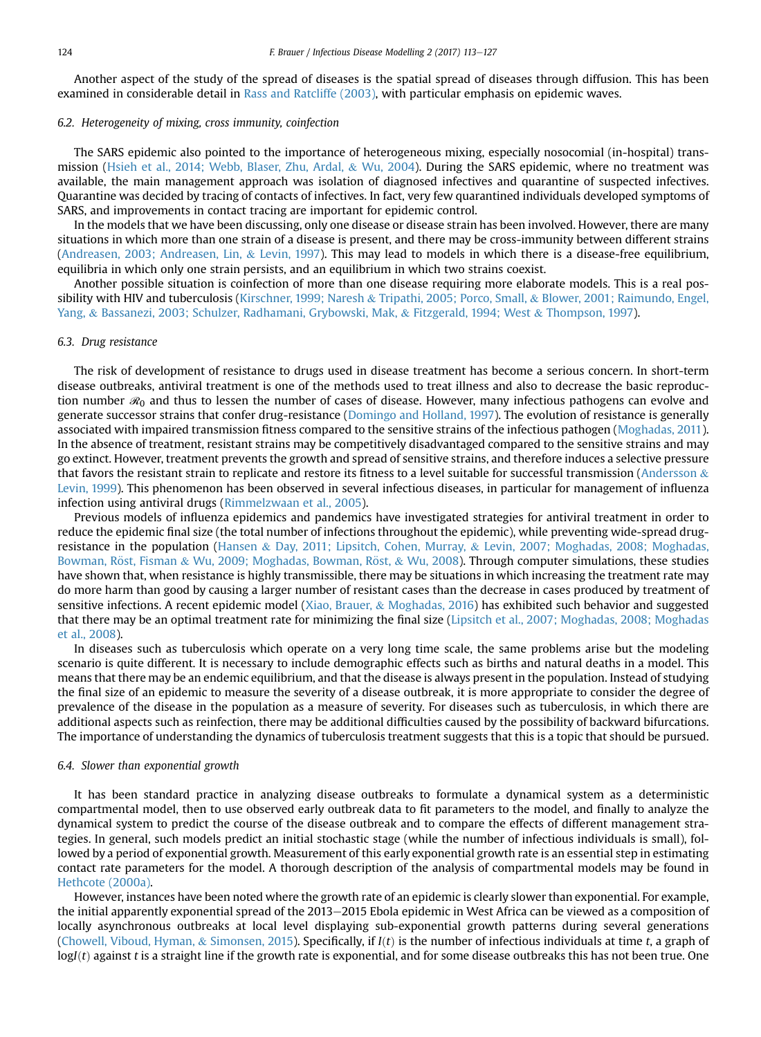Another aspect of the study of the spread of diseases is the spatial spread of diseases through diffusion. This has been examined in considerable detail in Rass and Ratcliffe (2003), with particular emphasis on epidemic waves.

# 6.2. Heterogeneity of mixing, cross immunity, coinfection

The SARS epidemic also pointed to the importance of heterogeneous mixing, especially nosocomial (in-hospital) transmission (Hsieh et al., 2014; Webb, Blaser, Zhu, Ardal, & Wu, 2004). During the SARS epidemic, where no treatment was available, the main management approach was isolation of diagnosed infectives and quarantine of suspected infectives. Quarantine was decided by tracing of contacts of infectives. In fact, very few quarantined individuals developed symptoms of SARS, and improvements in contact tracing are important for epidemic control.

In the models that we have been discussing, only one disease or disease strain has been involved. However, there are many situations in which more than one strain of a disease is present, and there may be cross-immunity between different strains (Andreasen, 2003; Andreasen, Lin, & Levin, 1997). This may lead to models in which there is a disease-free equilibrium, equilibria in which only one strain persists, and an equilibrium in which two strains coexist.

Another possible situation is coinfection of more than one disease requiring more elaborate models. This is a real possibility with HIV and tuberculosis (Kirschner, 1999; Naresh & Tripathi, 2005; Porco, Small, & Blower, 2001; Raimundo, Engel, Yang, & Bassanezi, 2003; Schulzer, Radhamani, Grybowski, Mak, & Fitzgerald, 1994; West & Thompson, 1997).

# 6.3. Drug resistance

The risk of development of resistance to drugs used in disease treatment has become a serious concern. In short-term disease outbreaks, antiviral treatment is one of the methods used to treat illness and also to decrease the basic reproduction number  $\mathcal{R}_0$  and thus to lessen the number of cases of disease. However, many infectious pathogens can evolve and generate successor strains that confer drug-resistance (Domingo and Holland, 1997). The evolution of resistance is generally associated with impaired transmission fitness compared to the sensitive strains of the infectious pathogen (Moghadas, 2011). In the absence of treatment, resistant strains may be competitively disadvantaged compared to the sensitive strains and may go extinct. However, treatment prevents the growth and spread of sensitive strains, and therefore induces a selective pressure that favors the resistant strain to replicate and restore its fitness to a level suitable for successful transmission (Andersson  $\&$ Levin, 1999). This phenomenon has been observed in several infectious diseases, in particular for management of influenza infection using antiviral drugs (Rimmelzwaan et al., 2005).

Previous models of influenza epidemics and pandemics have investigated strategies for antiviral treatment in order to reduce the epidemic final size (the total number of infections throughout the epidemic), while preventing wide-spread drugresistance in the population (Hansen & Day, 2011; Lipsitch, Cohen, Murray, & Levin, 2007; Moghadas, 2008; Moghadas, Bowman, Röst, Fisman & Wu, 2009; Moghadas, Bowman, Röst, & Wu, 2008). Through computer simulations, these studies have shown that, when resistance is highly transmissible, there may be situations in which increasing the treatment rate may do more harm than good by causing a larger number of resistant cases than the decrease in cases produced by treatment of sensitive infections. A recent epidemic model (Xiao, Brauer, & Moghadas, 2016) has exhibited such behavior and suggested that there may be an optimal treatment rate for minimizing the final size (Lipsitch et al., 2007; Moghadas, 2008; Moghadas et al., 2008).

In diseases such as tuberculosis which operate on a very long time scale, the same problems arise but the modeling scenario is quite different. It is necessary to include demographic effects such as births and natural deaths in a model. This means that there may be an endemic equilibrium, and that the disease is always present in the population. Instead of studying the final size of an epidemic to measure the severity of a disease outbreak, it is more appropriate to consider the degree of prevalence of the disease in the population as a measure of severity. For diseases such as tuberculosis, in which there are additional aspects such as reinfection, there may be additional difficulties caused by the possibility of backward bifurcations. The importance of understanding the dynamics of tuberculosis treatment suggests that this is a topic that should be pursued.

#### 6.4. Slower than exponential growth

It has been standard practice in analyzing disease outbreaks to formulate a dynamical system as a deterministic compartmental model, then to use observed early outbreak data to fit parameters to the model, and finally to analyze the dynamical system to predict the course of the disease outbreak and to compare the effects of different management strategies. In general, such models predict an initial stochastic stage (while the number of infectious individuals is small), followed by a period of exponential growth. Measurement of this early exponential growth rate is an essential step in estimating contact rate parameters for the model. A thorough description of the analysis of compartmental models may be found in Hethcote (2000a).

However, instances have been noted where the growth rate of an epidemic is clearly slower than exponential. For example, the initial apparently exponential spread of the 2013–2015 Ebola epidemic in West Africa can be viewed as a composition of locally asynchronous outbreaks at local level displaying sub-exponential growth patterns during several generations (Chowell, Viboud, Hyman, & Simonsen, 2015). Specifically, if  $I(t)$  is the number of infectious individuals at time t, a graph of  $logI(t)$  against t is a straight line if the growth rate is exponential, and for some disease outbreaks this has not been true. One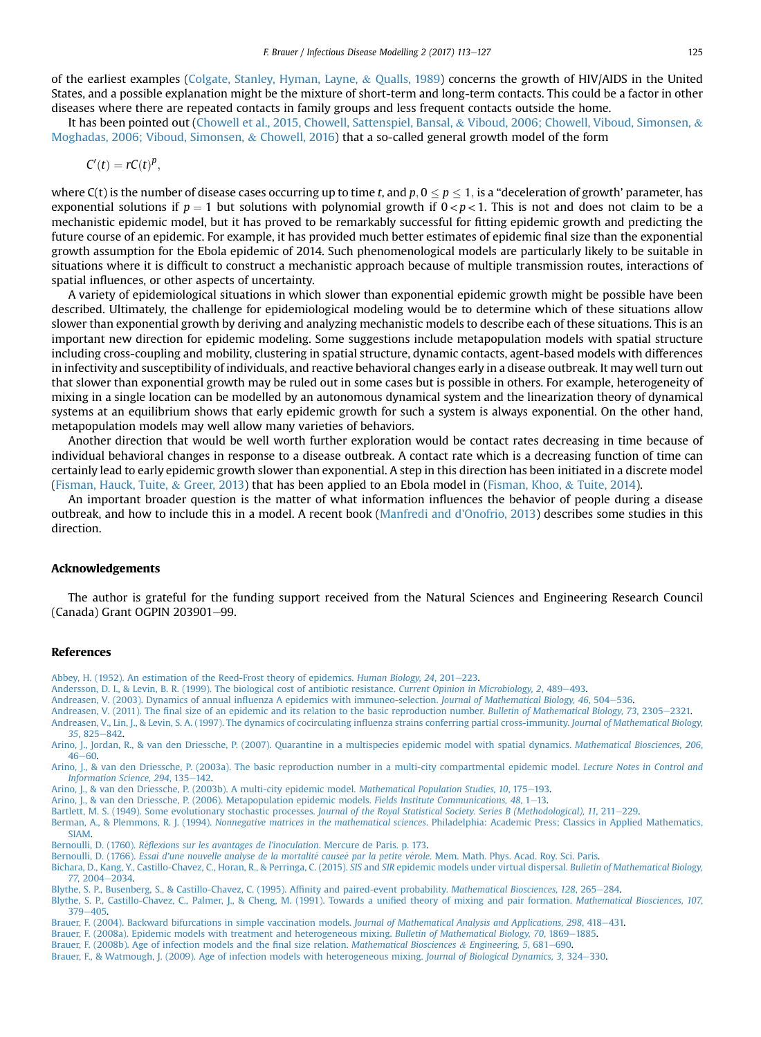It has been pointed out (Chowell et al., 2015, Chowell, Sattenspiel, Bansal, & Viboud, 2006; Chowell, Viboud, Simonsen, & Moghadas, 2006; Viboud, Simonsen, & Chowell, 2016) that a so-called general growth model of the form

$$
C'(t)=rC(t)^p,
$$

where C(t) is the number of disease cases occurring up to time t, and  $p, 0 < p < 1$ , is a "deceleration of growth' parameter, has exponential solutions if  $p = 1$  but solutions with polynomial growth if  $0 < p < 1$ . This is not and does not claim to be a mechanistic epidemic model, but it has proved to be remarkably successful for fitting epidemic growth and predicting the future course of an epidemic. For example, it has provided much better estimates of epidemic final size than the exponential growth assumption for the Ebola epidemic of 2014. Such phenomenological models are particularly likely to be suitable in situations where it is difficult to construct a mechanistic approach because of multiple transmission routes, interactions of spatial influences, or other aspects of uncertainty.

A variety of epidemiological situations in which slower than exponential epidemic growth might be possible have been described. Ultimately, the challenge for epidemiological modeling would be to determine which of these situations allow slower than exponential growth by deriving and analyzing mechanistic models to describe each of these situations. This is an important new direction for epidemic modeling. Some suggestions include metapopulation models with spatial structure including cross-coupling and mobility, clustering in spatial structure, dynamic contacts, agent-based models with differences in infectivity and susceptibility of individuals, and reactive behavioral changes early in a disease outbreak. It may well turn out that slower than exponential growth may be ruled out in some cases but is possible in others. For example, heterogeneity of mixing in a single location can be modelled by an autonomous dynamical system and the linearization theory of dynamical systems at an equilibrium shows that early epidemic growth for such a system is always exponential. On the other hand, metapopulation models may well allow many varieties of behaviors.

Another direction that would be well worth further exploration would be contact rates decreasing in time because of individual behavioral changes in response to a disease outbreak. A contact rate which is a decreasing function of time can certainly lead to early epidemic growth slower than exponential. A step in this direction has been initiated in a discrete model (Fisman, Hauck, Tuite, & Greer, 2013) that has been applied to an Ebola model in (Fisman, Khoo, & Tuite, 2014).

An important broader question is the matter of what information influences the behavior of people during a disease outbreak, and how to include this in a model. A recent book (Manfredi and d'Onofrio, 2013) describes some studies in this direction.

#### Acknowledgements

The author is grateful for the funding support received from the Natural Sciences and Engineering Research Council  $(Canada)$  Grant OGPIN 203901-99.

#### References

- Abbey, H. (1952). An estimation of the Reed-Frost theory of epidemics. Human Biology, 24, 201-223.
- Andersson, D. I., & Levin, B. R. (1999). The biological cost of antibiotic resistance. Current Opinion in Microbiology, 2, 489-493.
- Andreasen, V. (2003). Dynamics of annual influenza A epidemics with immuneo-selection. Journal of Mathematical Biology, 46, 504-536.
- Andreasen, V. (2011). The final size of an epidemic and its relation to the basic reproduction number. Bulletin of Mathematical Biology, 73, 2305–2321.
- Andreasen, V., Lin, J., & Levin, S. A. (1997). The dynamics of cocirculating influenza strains conferring partial cross-immunity. Journal of Mathematical Biology, 35, 825-842.

Arino, J., Jordan, R., & van den Driessche, P. (2007). Quarantine in a multispecies epidemic model with spatial dynamics. Mathematical Biosciences, 206,  $46 - 60.$ 

- Arino, J., & van den Driessche, P. (2003a). The basic reproduction number in a multi-city compartmental epidemic model. Lecture Notes in Control and Information Science, 294, 135-142.
- Arino, J., & van den Driessche, P. (2003b). A multi-city epidemic model. Mathematical Population Studies, 10, 175-193.
- Arino, J., & van den Driessche, P. (2006). Metapopulation epidemic models. Fields Institute Communications, 48, 1–13.
- Bartlett, M. S. (1949). Some evolutionary stochastic processes. Journal of the Royal Statistical Society. Series B (Methodological), 11, 211-229.
- Berman, A., & Plemmons, R. J. (1994). Nonnegative matrices in the mathematical sciences. Philadelphia: Academic Press; Classics in Applied Mathematics, SIAM.
- Bernoulli, D. (1760). Réflexions sur les avantages de l'inoculation. Mercure de Paris. p. 173.
- Bernoulli, D. (1766). Essai d'une nouvelle analyse de la mortalité causeé par la petite vérole. Mem. Math. Phys. Acad. Roy. Sci. Paris.
- Bichara, D., Kang, Y., Castillo-Chavez, C., Horan, R., & Perringa, C. (2015). SIS and SIR epidemic models under virtual dispersal. Bulletin of Mathematical Biology, 77, 2004-2034.

Blythe, S. P., Busenberg, S., & Castillo-Chavez, C. (1995). Affinity and paired-event probability. Mathematical Biosciences, 128, 265-284.

- Blythe, S. P., Castillo-Chavez, C., Palmer, J., & Cheng, M. (1991). Towards a unified theory of mixing and pair formation. Mathematical Biosciences, 107, 379-405.
- Brauer, F. (2004). Backward bifurcations in simple vaccination models. Journal of Mathematical Analysis and Applications, 298, 418-431.
- Brauer, F. (2008a). Epidemic models with treatment and heterogeneous mixing. Bulletin of Mathematical Biology, 70, 1869-1885.
- Brauer, F. (2008b). Age of infection models and the final size relation. Mathematical Biosciences & Engineering, 5, 681–690.
- Brauer, F., & Watmough, J. (2009). Age of infection models with heterogeneous mixing. Journal of Biological Dynamics, 3, 324-330.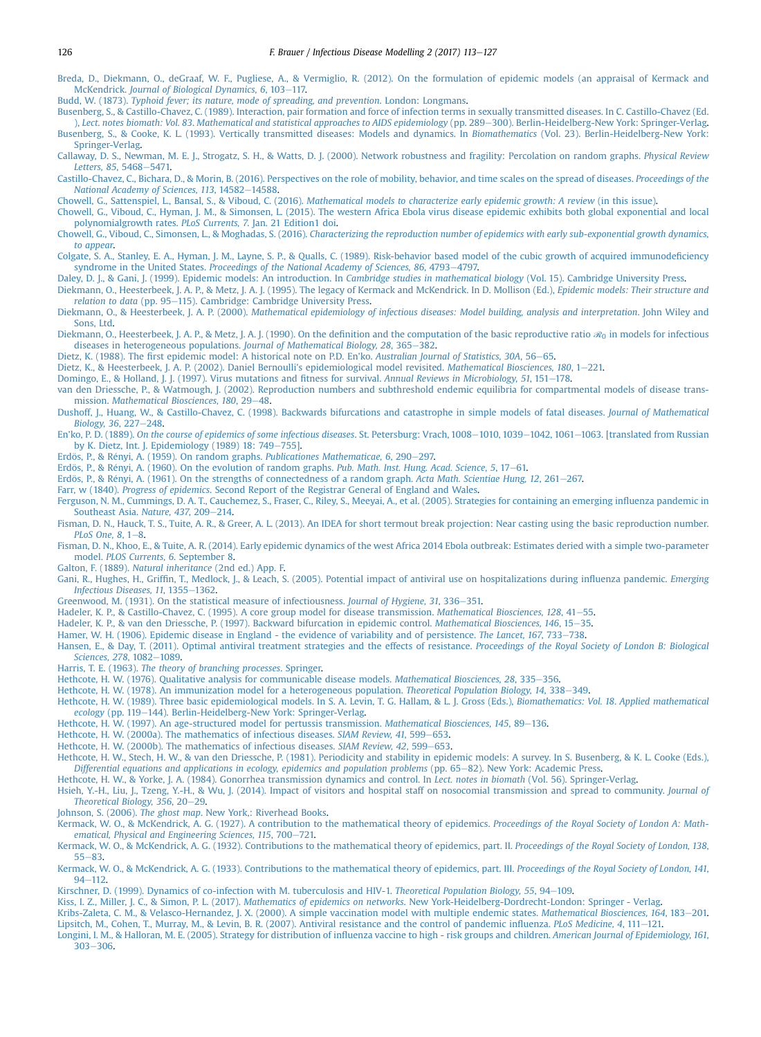Breda, D., Diekmann, O., deGraaf, W. F., Pugliese, A., & Vermiglio, R. (2012). On the formulation of epidemic models (an appraisal of Kermack and McKendrick. Journal of Biological Dynamics, 6, 103-117.

Budd, W. (1873). Typhoid fever; its nature, mode of spreading, and prevention. London: Longmans.

Busenberg, S., & Castillo-Chavez, C. (1989). Interaction, pair formation and force of infection terms in sexually transmitted diseases. In C. Castillo-Chavez (Ed. ), Lect. notes biomath: Vol. 83. Mathematical and statistical approaches to AIDS epidemiology (pp. 289-300). Berlin-Heidelberg-New York: Springer-Verlag.

Busenberg, S., & Cooke, K. L. (1993). Vertically transmitted diseases: Models and dynamics. In Biomathematics (Vol. 23). Berlin-Heidelberg-New York: Springer-Verlag.

Callaway, D. S., Newman, M. E. J., Strogatz, S. H., & Watts, D. J. (2000). Network robustness and fragility: Percolation on random graphs. Physical Review Letters, 85, 5468-5471.

Castillo-Chavez, C., Bichara, D., & Morin, B. (2016). Perspectives on the role of mobility, behavior, and time scales on the spread of diseases. Proceedings of the National Academy of Sciences, 113, 14582-14588.

Chowell, G., Sattenspiel, L., Bansal, S., & Viboud, C. (2016). Mathematical models to characterize early epidemic growth: A review (in this issue).

Chowell, G., Viboud, C., Hyman, J. M., & Simonsen, L. (2015). The western Africa Ebola virus disease epidemic exhibits both global exponential and local polynomialgrowth rates. PLoS Currents, 7. Jan. 21 Edition1 doi.

Chowell, G., Viboud, C., Simonsen, L., & Moghadas, S. (2016). Characterizing the reproduction number of epidemics with early sub-exponential growth dynamics, to appear.

Colgate, S. A., Stanley, E. A., Hyman, J. M., Layne, S. P., & Qualls, C. (1989). Risk-behavior based model of the cubic growth of acquired immunodeficiency syndrome in the United States. Proceedings of the National Academy of Sciences, 86, 4793-4797.

Daley, D. J., & Gani, J. (1999). Epidemic models: An introduction. In Cambridge studies in mathematical biology (Vol. 15). Cambridge University Press.

Diekmann, O., Heesterbeek, J. A. P., & Metz, J. A. J. (1995). The legacy of Kermack and McKendrick. In D. Mollison (Ed.), Epidemic models: Their structure and relation to data (pp. 95-115). Cambridge: Cambridge University Press.

Diekmann, O., & Heesterbeek, J. A. P. (2000). Mathematical epidemiology of infectious diseases: Model building, analysis and interpretation. John Wiley and Sons, Ltd.

Diekmann, O., Heesterbeek, J. A. P., & Metz, J. A. J. (1990). On the definition and the computation of the basic reproductive ratio  $\mathcal{R}_0$  in models for infectious diseases in heterogeneous populations. Journal of Mathematical Biology, 28, 365-382.

Dietz, K. (1988). The first epidemic model: A historical note on P.D. En'ko. Australian Journal of Statistics, 30A, 56–65.

Dietz, K., & Heesterbeek, J. A. P. (2002). Daniel Bernoulli's epidemiological model revisited. Mathematical Biosciences, 180, 1-221.

Domingo, E., & Holland, J. J. (1997). Virus mutations and fitness for survival. Annual Reviews in Microbiology, 51, 151-178.

van den Driessche, P., & Watmough, J. (2002). Reproduction numbers and subthreshold endemic equilibria for compartmental models of disease transmission. Mathematical Biosciences, 180, 29-48.

Dushoff, J., Huang, W., & Castillo-Chavez, C. (1998). Backwards bifurcations and catastrophe in simple models of fatal diseases. Journal of Mathematical Biology, 36, 227-248.

En'ko, P. D. (1889). On the course of epidemics of some infectious diseases. St. Petersburg: Vrach, 1008-1010, 1039-1042, 1061-1063. [translated from Russian by K. Dietz, Int. J. Epidemiology (1989) 18: 749-755].

Erdös, P., & Rényi, A. (1959). On random graphs. Publicationes Mathematicae, 6, 290–297.

Erdös, P., & Rényi, A. (1960). On the evolution of random graphs. Pub. Math. Inst. Hung. Acad. Science, 5, 17–61.

Erdös, P., & Rényi, A. (1961). On the strengths of connectedness of a random graph. Acta Math. Scientiae Hung, 12, 261–267.

Farr, w (1840). Progress of epidemics. Second Report of the Registrar General of England and Wales.

Ferguson, N. M., Cummings, D. A. T., Cauchemez, S., Fraser, C., Riley, S., Meeyai, A., et al. (2005). Strategies for containing an emerging influenza pandemic in Southeast Asia. Nature, 437, 209-214.

Fisman, D. N., Hauck, T. S., Tuite, A. R., & Greer, A. L. (2013). An IDEA for short termout break projection: Near casting using the basic reproduction number. PLoS One, 8, 1-8.

Fisman, D. N., Khoo, E., & Tuite, A. R. (2014). Early epidemic dynamics of the west Africa 2014 Ebola outbreak: Estimates deried with a simple two-parameter model. PLOS Currents, 6. September 8.

Galton, F. (1889). Natural inheritance (2nd ed.) App. F.

Gani, R., Hughes, H., Griffin, T., Medlock, J., & Leach, S. (2005). Potential impact of antiviral use on hospitalizations during influenza pandemic. Emerging Infectious Diseases, 11, 1355-1362.

Greenwood, M. (1931). On the statistical measure of infectiousness. Journal of Hygiene, 31, 336-351.

Hadeler, K. P., & Castillo-Chavez, C. (1995). A core group model for disease transmission. Mathematical Biosciences, 128, 41-55.

Hadeler, K. P., & van den Driessche, P. (1997). Backward bifurcation in epidemic control. Mathematical Biosciences, 146, 15-35.

Hamer, W. H. (1906). Epidemic disease in England - the evidence of variability and of persistence. The Lancet, 167, 733–738.

Hansen, E., & Day, T. (2011). Optimal antiviral treatment strategies and the effects of resistance. Proceedings of the Royal Society of London B: Biological Sciences, 278, 1082-1089.

Harris, T. E. (1963). The theory of branching processes. Springer.

Hethcote, H. W. (1976). Qualitative analysis for communicable disease models. Mathematical Biosciences, 28, 335-356.

Hethcote, H. W. (1978). An immunization model for a heterogeneous population. Theoretical Population Biology, 14, 338-349.

Hethcote, H. W. (1989). Three basic epidemiological models. In S. A. Levin, T. G. Hallam, & L. J. Gross (Eds.), Biomathematics: Vol. 18. Applied mathematical ecology (pp. 119–144). Berlin-Heidelberg-New York: Springer-Verlag.

Hethcote, H. W. (1997). An age-structured model for pertussis transmission. Mathematical Biosciences, 145, 89–136.

Hethcote, H. W. (2000a). The mathematics of infectious diseases. SIAM Review, 41, 599-653.

Hethcote, H. W. (2000b). The mathematics of infectious diseases. SIAM Review, 42, 599-653.

Hethcote, H. W., Stech, H. W., & van den Driessche, P. (1981). Periodicity and stability in epidemic models: A survey. In S. Busenberg, & K. L. Cooke (Eds.), Differential equations and applications in ecology, epidemics and population problems (pp. 65-82). New York: Academic Press.

Hethcote, H. W., & Yorke, J. A. (1984). Gonorrhea transmission dynamics and control. In Lect. notes in biomath (Vol. 56). Springer-Verlag.

Hsieh, Y.-H., Liu, J., Tzeng, Y.-H., & Wu, J. (2014). Impact of visitors and hospital staff on nosocomial transmission and spread to community. Journal of Theoretical Biology, 356, 20-29.

Johnson, S. (2006). The ghost map. New York,: Riverhead Books.

Kermack, W. O., & McKendrick, A. G. (1927). A contribution to the mathematical theory of epidemics. Proceedings of the Royal Society of London A: Mathematical, Physical and Engineering Sciences, 115, 700-721.

Kermack, W. O., & McKendrick, A. G. (1932). Contributions to the mathematical theory of epidemics, part. II. Proceedings of the Royal Society of London, 138, 55e83.

Kermack, W. O., & McKendrick, A. G. (1933). Contributions to the mathematical theory of epidemics, part. III. Proceedings of the Royal Society of London, 141,  $94 - 112.$ 

Kirschner, D. (1999). Dynamics of co-infection with M. tuberculosis and HIV-1. Theoretical Population Biology, 55, 94-109.

Kiss, I. Z., Miller, J. C., & Simon, P. L. (2017). Mathematics of epidemics on networks. New York-Heidelberg-Dordrecht-London: Springer - Verlag.

Kribs-Zaleta, C. M., & Velasco-Hernandez, J. X. (2000). A simple vaccination model with multiple endemic states. Mathematical Biosciences, 164, 183-201. Lipsitch, M., Cohen, T., Murray, M., & Levin, B. R. (2007). Antiviral resistance and the control of pandemic influenza. PLoS Medicine, 4, 111-121.

Longini, I. M., & Halloran, M. E. (2005). Strategy for distribution of influenza vaccine to high - risk groups and children. American Journal of Epidemiology, 161, 303-306.